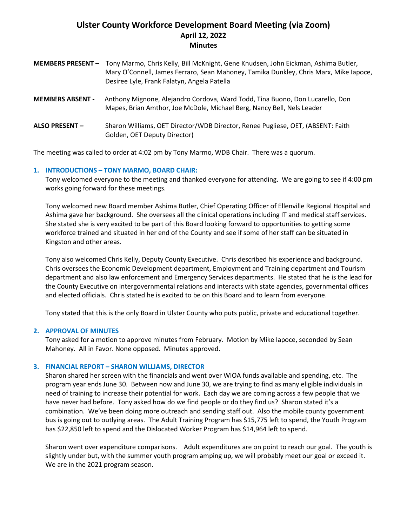# **Ulster County Workforce Development Board Meeting (via Zoom) April 12, 2022 Minutes**

|                         | MEMBERS PRESENT - Tony Marmo, Chris Kelly, Bill McKnight, Gene Knudsen, John Eickman, Ashima Butler,<br>Mary O'Connell, James Ferraro, Sean Mahoney, Tamika Dunkley, Chris Marx, Mike Iapoce,<br>Desiree Lyle, Frank Falatyn, Angela Patella |
|-------------------------|----------------------------------------------------------------------------------------------------------------------------------------------------------------------------------------------------------------------------------------------|
| <b>MEMBERS ABSENT -</b> | Anthony Mignone, Alejandro Cordova, Ward Todd, Tina Buono, Don Lucarello, Don<br>Mapes, Brian Amthor, Joe McDole, Michael Berg, Nancy Bell, Nels Leader                                                                                      |
| <b>ALSO PRESENT -</b>   | Sharon Williams, OET Director/WDB Director, Renee Pugliese, OET, (ABSENT: Faith<br>Golden, OET Deputy Director)                                                                                                                              |

The meeting was called to order at 4:02 pm by Tony Marmo, WDB Chair. There was a quorum.

#### **1. INTRODUCTIONS – TONY MARMO, BOARD CHAIR:**

Tony welcomed everyone to the meeting and thanked everyone for attending. We are going to see if 4:00 pm works going forward for these meetings.

Tony welcomed new Board member Ashima Butler, Chief Operating Officer of Ellenville Regional Hospital and Ashima gave her background. She oversees all the clinical operations including IT and medical staff services. She stated she is very excited to be part of this Board looking forward to opportunities to getting some workforce trained and situated in her end of the County and see if some of her staff can be situated in Kingston and other areas.

Tony also welcomed Chris Kelly, Deputy County Executive. Chris described his experience and background. Chris oversees the Economic Development department, Employment and Training department and Tourism department and also law enforcement and Emergency Services departments. He stated that he is the lead for the County Executive on intergovernmental relations and interacts with state agencies, governmental offices and elected officials. Chris stated he is excited to be on this Board and to learn from everyone.

Tony stated that this is the only Board in Ulster County who puts public, private and educational together.

## **2. APPROVAL OF MINUTES**

Tony asked for a motion to approve minutes from February. Motion by Mike Iapoce, seconded by Sean Mahoney. All in Favor. None opposed. Minutes approved.

#### **3. FINANCIAL REPORT – SHARON WILLIAMS, DIRECTOR**

Sharon shared her screen with the financials and went over WIOA funds available and spending, etc. The program year ends June 30. Between now and June 30, we are trying to find as many eligible individuals in need of training to increase their potential for work. Each day we are coming across a few people that we have never had before. Tony asked how do we find people or do they find us? Sharon stated it's a combination. We've been doing more outreach and sending staff out. Also the mobile county government bus is going out to outlying areas. The Adult Training Program has \$15,775 left to spend, the Youth Program has \$22,850 left to spend and the Dislocated Worker Program has \$14,964 left to spend.

Sharon went over expenditure comparisons. Adult expenditures are on point to reach our goal. The youth is slightly under but, with the summer youth program amping up, we will probably meet our goal or exceed it. We are in the 2021 program season.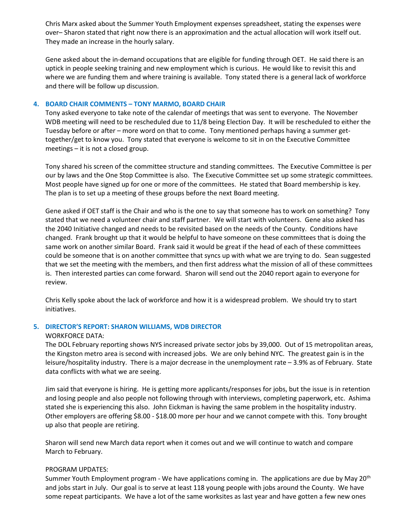Chris Marx asked about the Summer Youth Employment expenses spreadsheet, stating the expenses were over– Sharon stated that right now there is an approximation and the actual allocation will work itself out. They made an increase in the hourly salary.

Gene asked about the in-demand occupations that are eligible for funding through OET. He said there is an uptick in people seeking training and new employment which is curious. He would like to revisit this and where we are funding them and where training is available. Tony stated there is a general lack of workforce and there will be follow up discussion.

#### **4. BOARD CHAIR COMMENTS – TONY MARMO, BOARD CHAIR**

Tony asked everyone to take note of the calendar of meetings that was sent to everyone. The November WDB meeting will need to be rescheduled due to 11/8 being Election Day. It will be rescheduled to either the Tuesday before or after – more word on that to come. Tony mentioned perhaps having a summer gettogether/get to know you. Tony stated that everyone is welcome to sit in on the Executive Committee meetings – it is not a closed group.

Tony shared his screen of the committee structure and standing committees. The Executive Committee is per our by laws and the One Stop Committee is also. The Executive Committee set up some strategic committees. Most people have signed up for one or more of the committees. He stated that Board membership is key. The plan is to set up a meeting of these groups before the next Board meeting.

Gene asked if OET staff is the Chair and who is the one to say that someone has to work on something? Tony stated that we need a volunteer chair and staff partner. We will start with volunteers. Gene also asked has the 2040 Initiative changed and needs to be revisited based on the needs of the County. Conditions have changed. Frank brought up that it would be helpful to have someone on these committees that is doing the same work on another similar Board. Frank said it would be great if the head of each of these committees could be someone that is on another committee that syncs up with what we are trying to do. Sean suggested that we set the meeting with the members, and then first address what the mission of all of these committees is. Then interested parties can come forward. Sharon will send out the 2040 report again to everyone for review.

Chris Kelly spoke about the lack of workforce and how it is a widespread problem. We should try to start initiatives.

#### **5. DIRECTOR'S REPORT: SHARON WILLIAMS, WDB DIRECTOR**

#### WORKFORCE DATA:

The DOL February reporting shows NYS increased private sector jobs by 39,000. Out of 15 metropolitan areas, the Kingston metro area is second with increased jobs. We are only behind NYC. The greatest gain is in the leisure/hospitality industry. There is a major decrease in the unemployment rate – 3.9% as of February. State data conflicts with what we are seeing.

Jim said that everyone is hiring. He is getting more applicants/responses for jobs, but the issue is in retention and losing people and also people not following through with interviews, completing paperwork, etc. Ashima stated she is experiencing this also. John Eickman is having the same problem in the hospitality industry. Other employers are offering \$8.00 - \$18.00 more per hour and we cannot compete with this. Tony brought up also that people are retiring.

Sharon will send new March data report when it comes out and we will continue to watch and compare March to February.

#### PROGRAM UPDATES:

Summer Youth Employment program - We have applications coming in. The applications are due by May 20<sup>th</sup> and jobs start in July. Our goal is to serve at least 118 young people with jobs around the County. We have some repeat participants. We have a lot of the same worksites as last year and have gotten a few new ones